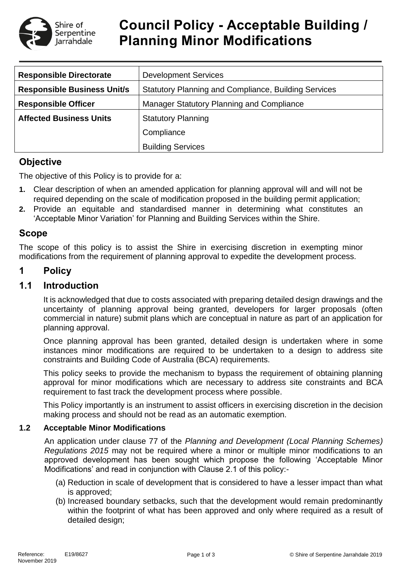

# **Council Policy - Acceptable Building / Planning Minor Modifications**

| <b>Responsible Directorate</b>     | <b>Development Services</b>                                 |  |  |
|------------------------------------|-------------------------------------------------------------|--|--|
| <b>Responsible Business Unit/s</b> | <b>Statutory Planning and Compliance, Building Services</b> |  |  |
| <b>Responsible Officer</b>         | Manager Statutory Planning and Compliance                   |  |  |
| <b>Affected Business Units</b>     | <b>Statutory Planning</b>                                   |  |  |
|                                    | Compliance                                                  |  |  |
|                                    | <b>Building Services</b>                                    |  |  |

# **Objective**

The objective of this Policy is to provide for a:

- **1.** Clear description of when an amended application for planning approval will and will not be required depending on the scale of modification proposed in the building permit application;
- **2.** Provide an equitable and standardised manner in determining what constitutes an 'Acceptable Minor Variation' for Planning and Building Services within the Shire.

## **Scope**

The scope of this policy is to assist the Shire in exercising discretion in exempting minor modifications from the requirement of planning approval to expedite the development process.

# **1 Policy**

## **1.1 Introduction**

It is acknowledged that due to costs associated with preparing detailed design drawings and the uncertainty of planning approval being granted, developers for larger proposals (often commercial in nature) submit plans which are conceptual in nature as part of an application for planning approval.

Once planning approval has been granted, detailed design is undertaken where in some instances minor modifications are required to be undertaken to a design to address site constraints and Building Code of Australia (BCA) requirements.

This policy seeks to provide the mechanism to bypass the requirement of obtaining planning approval for minor modifications which are necessary to address site constraints and BCA requirement to fast track the development process where possible.

This Policy importantly is an instrument to assist officers in exercising discretion in the decision making process and should not be read as an automatic exemption.

#### **1.2 Acceptable Minor Modifications**

An application under clause 77 of the *Planning and Development (Local Planning Schemes) Regulations 2015* may not be required where a minor or multiple minor modifications to an approved development has been sought which propose the following 'Acceptable Minor Modifications' and read in conjunction with Clause 2.1 of this policy:-

- (a) Reduction in scale of development that is considered to have a lesser impact than what is approved;
- (b) Increased boundary setbacks, such that the development would remain predominantly within the footprint of what has been approved and only where required as a result of detailed design;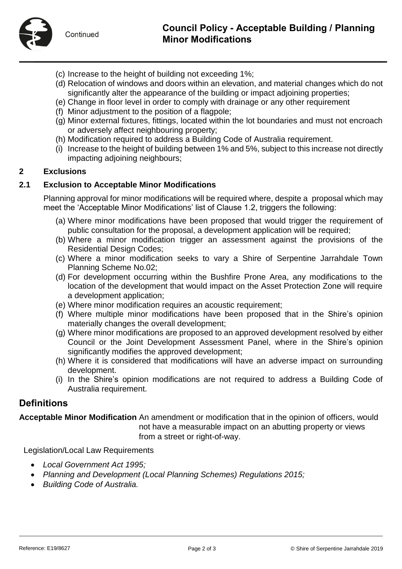- (c) Increase to the height of building not exceeding 1%;
- (d) Relocation of windows and doors within an elevation, and material changes which do not significantly alter the appearance of the building or impact adjoining properties;
- (e) Change in floor level in order to comply with drainage or any other requirement
- (f) Minor adjustment to the position of a flagpole;
- (g) Minor external fixtures, fittings, located within the lot boundaries and must not encroach or adversely affect neighbouring property;
- (h) Modification required to address a Building Code of Australia requirement.
- (i) Increase to the height of building between 1% and 5%, subject to this increase not directly impacting adjoining neighbours;

#### **2 Exclusions**

#### **2.1 Exclusion to Acceptable Minor Modifications**

Planning approval for minor modifications will be required where, despite a proposal which may meet the 'Acceptable Minor Modifications' list of Clause 1.2, triggers the following:

- (a) Where minor modifications have been proposed that would trigger the requirement of public consultation for the proposal, a development application will be required;
- (b) Where a minor modification trigger an assessment against the provisions of the Residential Design Codes;
- (c) Where a minor modification seeks to vary a Shire of Serpentine Jarrahdale Town Planning Scheme No.02;
- (d) For development occurring within the Bushfire Prone Area, any modifications to the location of the development that would impact on the Asset Protection Zone will require a development application;
- (e) Where minor modification requires an acoustic requirement;
- (f) Where multiple minor modifications have been proposed that in the Shire's opinion materially changes the overall development;
- (g) Where minor modifications are proposed to an approved development resolved by either Council or the Joint Development Assessment Panel, where in the Shire's opinion significantly modifies the approved development;
- (h) Where it is considered that modifications will have an adverse impact on surrounding development.
- (i) In the Shire's opinion modifications are not required to address a Building Code of Australia requirement.

### **Definitions**

**Acceptable Minor Modification** An amendment or modification that in the opinion of officers, would not have a measurable impact on an abutting property or views from a street or right-of-way.

Legislation/Local Law Requirements

- *Local Government Act 1995;*
- *Planning and Development (Local Planning Schemes) Regulations 2015;*
- *Building Code of Australia.*